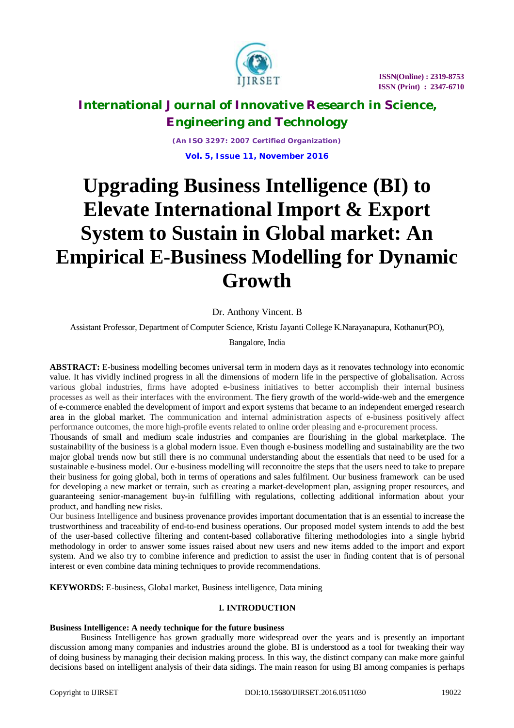

*(An ISO 3297: 2007 Certified Organization)* **Vol. 5, Issue 11, November 2016**

# **Upgrading Business Intelligence (BI) to Elevate International Import & Export System to Sustain in Global market: An Empirical E-Business Modelling for Dynamic Growth**

Dr. Anthony Vincent. B

Assistant Professor, Department of Computer Science, Kristu Jayanti College K.Narayanapura, Kothanur(PO),

Bangalore, India

**ABSTRACT:** E-business modelling becomes universal term in modern days as it renovates technology into economic value. It has vividly inclined progress in all the dimensions of modern life in the perspective of globalisation*.* Across various global industries, firms have adopted e-business initiatives to better accomplish their internal business processes as well as their interfaces with the environment. The fiery growth of the world-wide-web and the emergence of e-commerce enabled the development of import and export systems that became to an independent emerged research area in the global market. The communication and internal administration aspects of e-business positively affect performance outcomes, the more high-profile events related to online order pleasing and e-procurement process.

Thousands of small and medium scale industries and companies are flourishing in the global marketplace. The sustainability of the business is a global modern issue. Even though e-business modelling and sustainability are the two major global trends now but still there is no communal understanding about the essentials that need to be used for a sustainable e-business model. Our e-business modelling will reconnoitre the steps that the users need to take to prepare their business for going global, both in terms of operations and sales fulfilment. Our business framework can be used for developing a new market or terrain, such as creating a market-development plan, assigning proper resources, and guaranteeing senior-management buy-in fulfilling with regulations, collecting additional information about your product, and handling new risks.

Our business Intelligence and business provenance provides important documentation that is an essential to increase the trustworthiness and traceability of end-to-end business operations. Our proposed model system intends to add the best of the user-based collective filtering and content-based collaborative filtering methodologies into a single hybrid methodology in order to answer some issues raised about new users and new items added to the import and export system. And we also try to combine inference and prediction to assist the user in finding content that is of personal interest or even combine data mining techniques to provide recommendations.

**KEYWORDS:** E-business, Global market, Business intelligence, Data mining

### **I. INTRODUCTION**

#### **Business Intelligence: A needy technique for the future business**

Business Intelligence has grown gradually more widespread over the years and is presently an important discussion among many companies and industries around the globe. BI is understood as a tool for tweaking their way of doing business by managing their decision making process. In this way, the distinct company can make more gainful decisions based on intelligent analysis of their data sidings. The main reason for using BI among companies is perhaps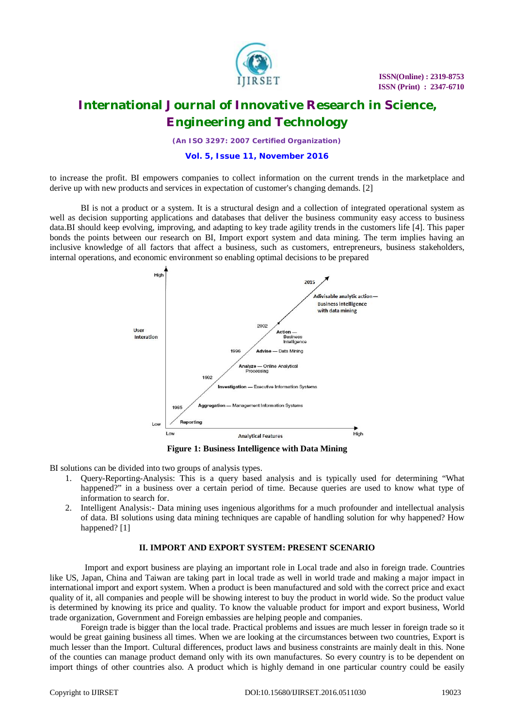

*(An ISO 3297: 2007 Certified Organization)*

### **Vol. 5, Issue 11, November 2016**

to increase the profit. BI empowers companies to collect information on the current trends in the marketplace and derive up with new products and services in expectation of customer's changing demands. [2]

BI is not a product or a system. It is a structural design and a collection of integrated operational system as well as decision supporting applications and databases that deliver the business community easy access to business data.BI should keep evolving, improving, and adapting to key trade agility trends in the customers life [4]. This paper bonds the points between our research on BI, Import export system and data mining. The term implies having an inclusive knowledge of all factors that affect a business, such as customers, entrepreneurs, business stakeholders, internal operations, and economic environment so enabling optimal decisions to be prepared



**Figure 1: Business Intelligence with Data Mining**

BI solutions can be divided into two groups of analysis types.

- 1. Query-Reporting-Analysis: This is a query based analysis and is typically used for determining "What happened?" in a business over a certain period of time. Because queries are used to know what type of information to search for.
- 2. Intelligent Analysis:- Data mining uses ingenious algorithms for a much profounder and intellectual analysis of data. BI solutions using data mining techniques are capable of handling solution for why happened? How happened? [1]

#### **II. IMPORT AND EXPORT SYSTEM: PRESENT SCENARIO**

Import and export business are playing an important role in Local trade and also in foreign trade. Countries like US, Japan, China and Taiwan are taking part in local trade as well in world trade and making a major impact in international import and export system. When a product is been manufactured and sold with the correct price and exact quality of it, all companies and people will be showing interest to buy the product in world wide. So the product value is determined by knowing its price and quality. To know the valuable product for import and export business, World trade organization, Government and Foreign embassies are helping people and companies.

Foreign trade is bigger than the local trade. Practical problems and issues are much lesser in foreign trade so it would be great gaining business all times. When we are looking at the circumstances between two countries, Export is much lesser than the Import. Cultural differences, product laws and business constraints are mainly dealt in this. None of the counties can manage product demand only with its own manufactures. So every country is to be dependent on import things of other countries also. A product which is highly demand in one particular country could be easily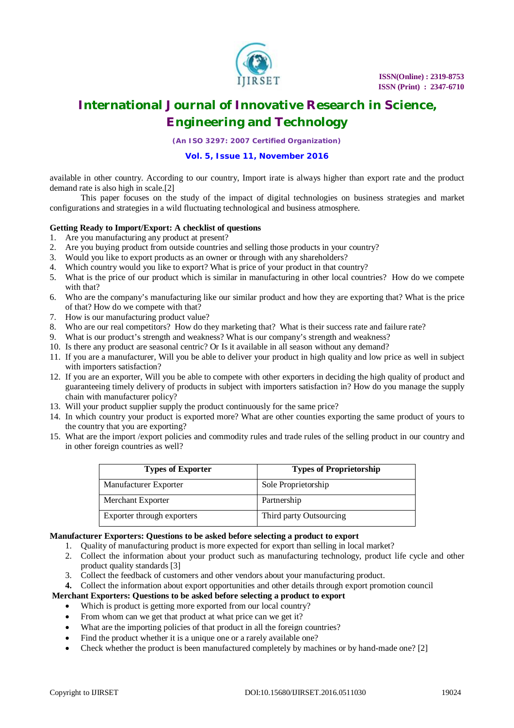

*(An ISO 3297: 2007 Certified Organization)*

### **Vol. 5, Issue 11, November 2016**

available in other country. According to our country, Import irate is always higher than export rate and the product demand rate is also high in scale.[2]

This paper focuses on the study of the impact of digital technologies on business strategies and market configurations and strategies in a wild fluctuating technological and business atmosphere.

#### **Getting Ready to Import/Export: A checklist of questions**

- 1. Are you manufacturing any product at present?
- 2. Are you buying product from outside countries and selling those products in your country?
- 3. Would you like to export products as an owner or through with any shareholders?
- 4. Which country would you like to export? What is price of your product in that country?
- 5. What is the price of our product which is similar in manufacturing in other local countries? How do we compete with that?
- 6. Who are the company's manufacturing like our similar product and how they are exporting that? What is the price of that? How do we compete with that?
- 7. How is our manufacturing product value?
- 8. Who are our real competitors? How do they marketing that? What is their success rate and failure rate?
- 9. What is our product's strength and weakness? What is our company's strength and weakness?
- 10. Is there any product are seasonal centric? Or Is it available in all season without any demand?
- 11. If you are a manufacturer, Will you be able to deliver your product in high quality and low price as well in subject with importers satisfaction?
- 12. If you are an exporter, Will you be able to compete with other exporters in deciding the high quality of product and guaranteeing timely delivery of products in subject with importers satisfaction in? How do you manage the supply chain with manufacturer policy?
- 13. Will your product supplier supply the product continuously for the same price?
- 14. In which country your product is exported more? What are other counties exporting the same product of yours to the country that you are exporting?
- 15. What are the import /export policies and commodity rules and trade rules of the selling product in our country and in other foreign countries as well?

| <b>Types of Exporter</b>   | <b>Types of Proprietorship</b> |
|----------------------------|--------------------------------|
| Manufacturer Exporter      | Sole Proprietorship            |
| Merchant Exporter          | Partnership                    |
| Exporter through exporters | Third party Outsourcing        |

### **Manufacturer Exporters: Questions to be asked before selecting a product to export**

- 1. Quality of manufacturing product is more expected for export than selling in local market?
- 2. Collect the information about your product such as manufacturing technology, product life cycle and other product quality standards [3]
- 3. Collect the feedback of customers and other vendors about your manufacturing product.
- **4.** Collect the information about export opportunities and other details through export promotion council

### **Merchant Exporters: Questions to be asked before selecting a product to export**

- Which is product is getting more exported from our local country?
- From whom can we get that product at what price can we get it?
- What are the importing policies of that product in all the foreign countries?
- Find the product whether it is a unique one or a rarely available one?
- Check whether the product is been manufactured completely by machines or by hand-made one? [2]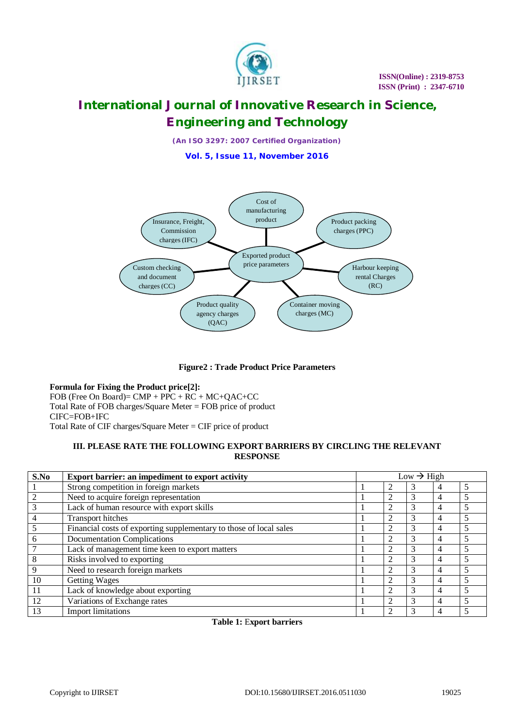

*(An ISO 3297: 2007 Certified Organization)*

**Vol. 5, Issue 11, November 2016**



**Figure2 : Trade Product Price Parameters** 

**Formula for Fixing the Product price[2]:** FOB (Free On Board)= CMP + PPC + RC + MC+QAC+CC Total Rate of FOB charges/Square Meter = FOB price of product CIFC=FOB+IFC Total Rate of CIF charges/Square Meter = CIF price of product

### **III. PLEASE RATE THE FOLLOWING EXPORT BARRIERS BY CIRCLING THE RELEVANT RESPONSE**

| S.No | Export barrier: an impediment to export activity                   | $Low \rightarrow High$ |  |   |   |  |
|------|--------------------------------------------------------------------|------------------------|--|---|---|--|
|      | Strong competition in foreign markets                              |                        |  | 3 |   |  |
|      | Need to acquire foreign representation                             |                        |  | 3 |   |  |
| 3    | Lack of human resource with export skills                          |                        |  | 3 | 4 |  |
| 4    | Transport hitches                                                  |                        |  | 3 |   |  |
|      | Financial costs of exporting supplementary to those of local sales |                        |  | 3 |   |  |
| 6    | <b>Documentation Complications</b>                                 |                        |  | 3 | 4 |  |
|      | Lack of management time keen to export matters                     |                        |  | 3 | 4 |  |
| 8    | Risks involved to exporting                                        |                        |  | 3 |   |  |
| 9    | Need to research foreign markets                                   |                        |  | 3 | 4 |  |
| 10   | <b>Getting Wages</b>                                               |                        |  | 3 | 4 |  |
| 11   | Lack of knowledge about exporting                                  |                        |  | 3 |   |  |
| 12   | Variations of Exchange rates                                       |                        |  | 3 |   |  |
| 13   | <b>Import limitations</b>                                          |                        |  |   |   |  |

**Table 1:** E**xport barriers**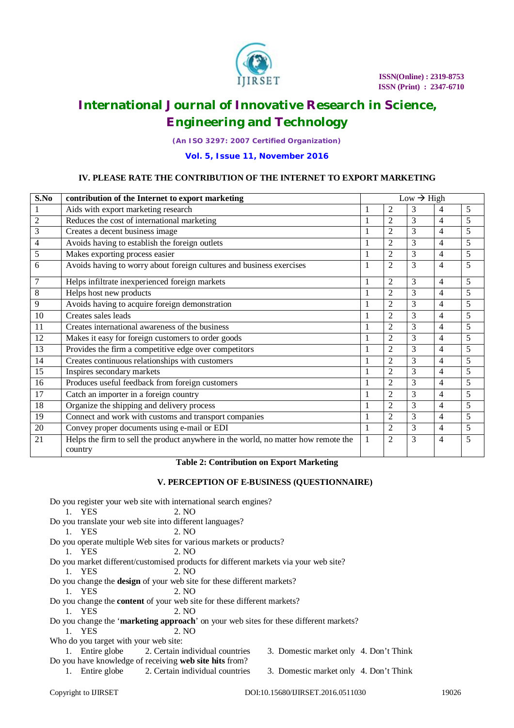

*(An ISO 3297: 2007 Certified Organization)*

### **Vol. 5, Issue 11, November 2016**

### **IV. PLEASE RATE THE CONTRIBUTION OF THE INTERNET TO EXPORT MARKETING**

| S.No           | contribution of the Internet to export marketing                                              | $Low \rightarrow High$ |                |   |                |                |
|----------------|-----------------------------------------------------------------------------------------------|------------------------|----------------|---|----------------|----------------|
| 1              | Aids with export marketing research                                                           |                        | $\overline{2}$ | 3 | 4              | 5              |
| $\overline{2}$ | Reduces the cost of international marketing                                                   |                        | $\overline{2}$ | 3 | $\overline{4}$ | 5              |
| 3              | Creates a decent business image                                                               |                        | $\overline{2}$ | 3 | $\overline{4}$ | 5              |
| 4              | Avoids having to establish the foreign outlets                                                |                        | $\overline{2}$ | 3 | $\overline{4}$ | 5              |
| 5              | Makes exporting process easier                                                                |                        | $\overline{2}$ | 3 | $\overline{4}$ | 5              |
| 6              | Avoids having to worry about foreign cultures and business exercises                          |                        | $\overline{2}$ | 3 | $\overline{4}$ | 5              |
| 7              | Helps infiltrate inexperienced foreign markets                                                | 1                      | $\overline{2}$ | 3 | $\overline{4}$ | 5              |
| 8              | Helps host new products                                                                       | 1                      | $\overline{2}$ | 3 | $\overline{4}$ | 5              |
| 9              | Avoids having to acquire foreign demonstration                                                |                        | $\overline{2}$ | 3 | $\overline{4}$ | 5              |
| 10             | Creates sales leads                                                                           |                        | $\overline{2}$ | 3 | $\overline{4}$ | 5              |
| 11             | Creates international awareness of the business                                               |                        | $\overline{2}$ | 3 | $\overline{4}$ | $\overline{5}$ |
| 12             | Makes it easy for foreign customers to order goods                                            |                        | $\mathfrak{D}$ | 3 | $\overline{4}$ | 5              |
| 13             | Provides the firm a competitive edge over competitors                                         |                        | $\overline{2}$ | 3 | $\overline{4}$ | 5              |
| 14             | Creates continuous relationships with customers                                               |                        | $\overline{2}$ | 3 | $\overline{4}$ | 5              |
| 15             | Inspires secondary markets                                                                    |                        | $\overline{2}$ | 3 | $\overline{4}$ | 5              |
| 16             | Produces useful feedback from foreign customers                                               | 1                      | $\overline{2}$ | 3 | $\overline{4}$ | 5              |
| 17             | Catch an importer in a foreign country                                                        |                        | $\overline{2}$ | 3 | $\overline{4}$ | 5              |
| 18             | Organize the shipping and delivery process                                                    |                        | $\overline{2}$ | 3 | $\overline{4}$ | $\overline{5}$ |
| 19             | Connect and work with customs and transport companies                                         |                        | $\overline{2}$ | 3 | $\overline{4}$ | 5              |
| 20             | Convey proper documents using e-mail or EDI                                                   | 1                      | $\overline{2}$ | 3 | $\overline{4}$ | 5              |
| 21             | Helps the firm to sell the product anywhere in the world, no matter how remote the<br>country |                        | $\mathfrak{D}$ | 3 | $\overline{4}$ | 5              |

### **Table 2: Contribution on Export Marketing**

### **V. PERCEPTION OF E-BUSINESS (QUESTIONNAIRE)**

|                                       | Do you register your web site with international search engines?                      |                                        |       |
|---------------------------------------|---------------------------------------------------------------------------------------|----------------------------------------|-------|
| 1. YES                                | 2. NO                                                                                 |                                        |       |
|                                       | Do you translate your web site into different languages?                              |                                        |       |
| 1. YES                                | 2. NO                                                                                 |                                        |       |
|                                       | Do you operate multiple Web sites for various markets or products?                    |                                        |       |
| 1. YES                                | 2. NO                                                                                 |                                        |       |
|                                       | Do you market different/customised products for different markets via your web site?  |                                        |       |
| 1. YES                                | 2. NQ                                                                                 |                                        |       |
|                                       | Do you change the <b>design</b> of your web site for these different markets?         |                                        |       |
| 1. YES                                | 2. NO                                                                                 |                                        |       |
|                                       | Do you change the <b>content</b> of your web site for these different markets?        |                                        |       |
| 1. YES                                | 2. NO                                                                                 |                                        |       |
|                                       | Do you change the 'marketing approach' on your web sites for these different markets? |                                        |       |
| 1. YES                                | 2. NO                                                                                 |                                        |       |
| Who do you target with your web site: |                                                                                       |                                        |       |
|                                       | 1. Entire globe 2. Certain individual countries                                       | 3. Domestic market only 4. Don't Think |       |
|                                       | Do you have knowledge of receiving web site hits from?                                |                                        |       |
|                                       | 1. Entire globe 2. Certain individual countries                                       | 3. Domestic market only 4. Don't Think |       |
| Copyright to <b>IJIRSET</b>           |                                                                                       | DOI:10.15680/IJIRSET.2016.0511030      | 19026 |